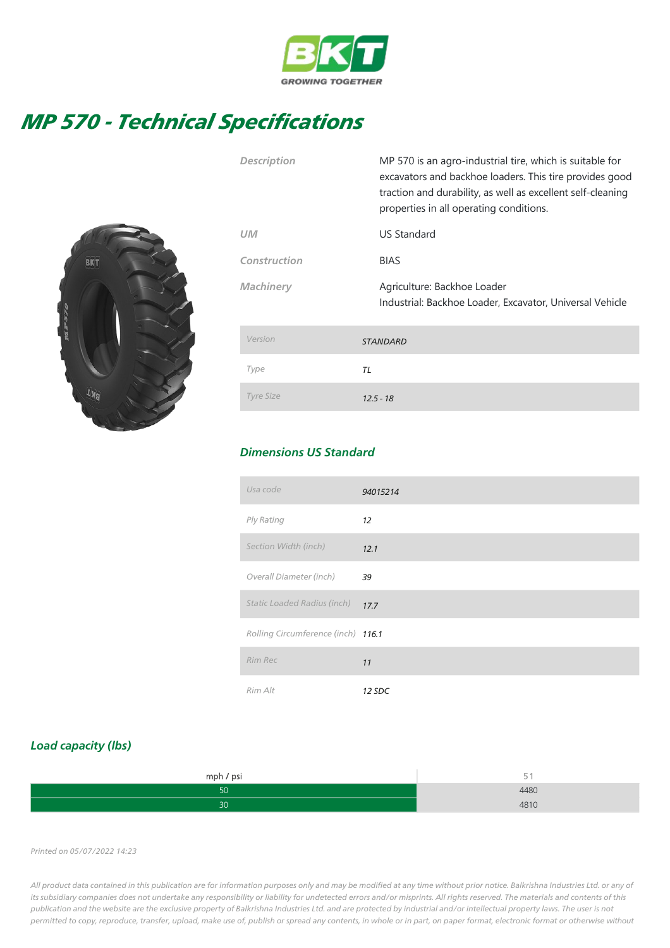

## MP 570 - Technical Specifications



| <b>Description</b> | MP 570 is an agro-industrial tire, which is suitable for<br>excavators and backhoe loaders. This tire provides good<br>traction and durability, as well as excellent self-cleaning<br>properties in all operating conditions. |
|--------------------|-------------------------------------------------------------------------------------------------------------------------------------------------------------------------------------------------------------------------------|
| <b>UM</b>          | <b>US Standard</b>                                                                                                                                                                                                            |
| Construction       | <b>BIAS</b>                                                                                                                                                                                                                   |
| <b>Machinery</b>   | Agriculture: Backhoe Loader<br>Industrial: Backhoe Loader, Excavator, Universal Vehicle                                                                                                                                       |
| Version            | <b>STANDARD</b>                                                                                                                                                                                                               |
| Type               | TL                                                                                                                                                                                                                            |
| <b>Tyre Size</b>   | $12.5 - 18$                                                                                                                                                                                                                   |

## Dimensions US Standard

| Usa code                           | 94015214 |
|------------------------------------|----------|
| Ply Rating                         | 12       |
| Section Width (inch)               | 12.1     |
| Overall Diameter (inch)            | 39       |
| <b>Static Loaded Radius (inch)</b> | 17.7     |
| Rolling Circumference (inch) 116.1 |          |
| Rim Rec                            | 11       |
| Rim Alt                            | 12 SDC   |

## Load capacity (lbs)

| mph / psi | $\sim$ |
|-----------|--------|
|           | 4480   |
|           | 101C   |

## Printed on 05/07/2022 14:23

All product data contained in this publication are for information purposes only and may be modified at any time without prior notice. Balkrishna Industries Ltd. or any of its subsidiary companies does not undertake any responsibility or liability for undetected errors and/or misprints. All rights reserved. The materials and contents of this publication and the website are the exclusive property of Balkrishna Industries Ltd. and are protected by industrial and/or intellectual property laws. The user is not permitted to copy, reproduce, transfer, upload, make use of, publish or spread any contents, in whole or in part, on paper format, electronic format or otherwise without